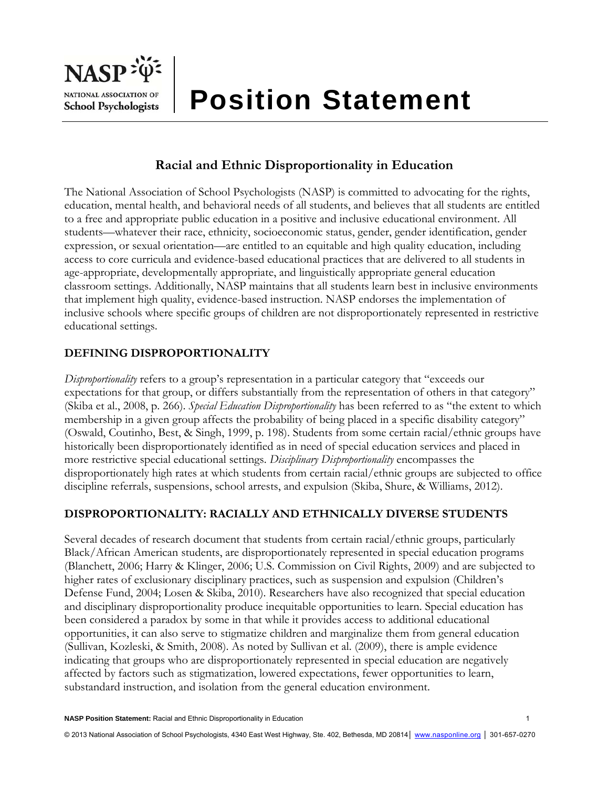

# **Racial and Ethnic Disproportionality in Education**

The National Association of School Psychologists (NASP) is committed to advocating for the rights, education, mental health, and behavioral needs of all students, and believes that all students are entitled to a free and appropriate public education in a positive and inclusive educational environment. All students—whatever their race, ethnicity, socioeconomic status, gender, gender identification, gender expression, or sexual orientation—are entitled to an equitable and high quality education, including access to core curricula and evidence-based educational practices that are delivered to all students in age-appropriate, developmentally appropriate, and linguistically appropriate general education classroom settings. Additionally, NASP maintains that all students learn best in inclusive environments that implement high quality, evidence-based instruction. NASP endorses the implementation of inclusive schools where specific groups of children are not disproportionately represented in restrictive educational settings.

# **DEFINING DISPROPORTIONALITY**

*Disproportionality* refers to a group's representation in a particular category that "exceeds our expectations for that group, or differs substantially from the representation of others in that category" (Skiba et al., 2008, p. 266). *Special Education Disproportionality* has been referred to as "the extent to which membership in a given group affects the probability of being placed in a specific disability category" (Oswald, Coutinho, Best, & Singh, 1999, p. 198). Students from some certain racial/ethnic groups have historically been disproportionately identified as in need of special education services and placed in more restrictive special educational settings. *Disciplinary Disproportionality* encompasses the disproportionately high rates at which students from certain racial/ethnic groups are subjected to office discipline referrals, suspensions, school arrests, and expulsion (Skiba, Shure, & Williams, 2012).

## **DISPROPORTIONALITY: RACIALLY AND ETHNICALLY DIVERSE STUDENTS**

Several decades of research document that students from certain racial/ethnic groups, particularly Black/African American students, are disproportionately represented in special education programs (Blanchett, 2006; Harry & Klinger, 2006; U.S. Commission on Civil Rights, 2009) and are subjected to higher rates of exclusionary disciplinary practices, such as suspension and expulsion (Children's Defense Fund, 2004; Losen & Skiba, 2010). Researchers have also recognized that special education and disciplinary disproportionality produce inequitable opportunities to learn. Special education has been considered a paradox by some in that while it provides access to additional educational opportunities, it can also serve to stigmatize children and marginalize them from general education (Sullivan, Kozleski, & Smith, 2008). As noted by Sullivan et al. (2009), there is ample evidence indicating that groups who are disproportionately represented in special education are negatively affected by factors such as stigmatization, lowered expectations, fewer opportunities to learn, substandard instruction, and isolation from the general education environment.

**NASP Position Statement:** Racial and Ethnic Disproportionality in Education 1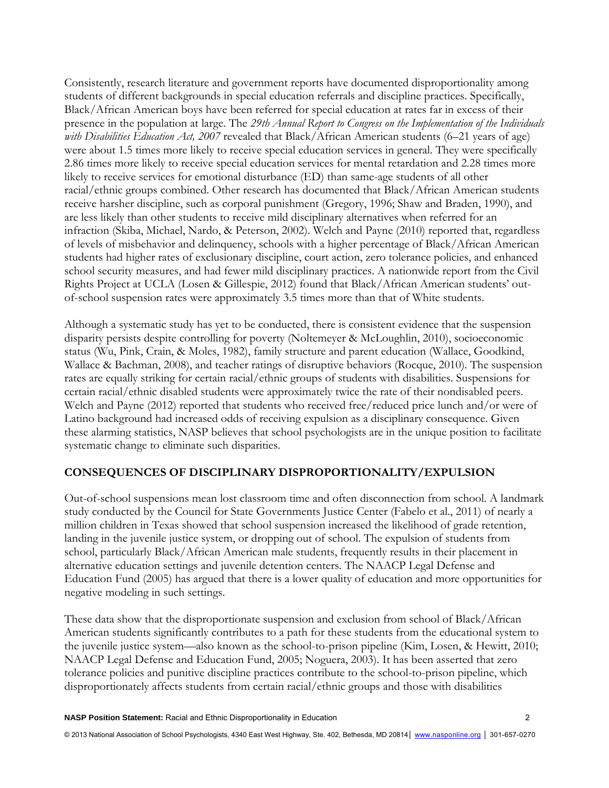Consistently, research literature and government reports have documented disproportionality among students of different backgrounds in special education referrals and discipline practices. Specifically, Black/African American boys have been referred for special education at rates far in excess of their presence in the population at large. The *29th Annual Report to Congress on the Implementation of the Individuals with Disabilities Education Act, 2007* revealed that Black/African American students (6–21 years of age) were about 1.5 times more likely to receive special education services in general. They were specifically 2.86 times more likely to receive special education services for mental retardation and 2.28 times more likely to receive services for emotional disturbance (ED) than same-age students of all other racial/ethnic groups combined. Other research has documented that Black/African American students receive harsher discipline, such as corporal punishment (Gregory, 1996; Shaw and Braden, 1990), and are less likely than other students to receive mild disciplinary alternatives when referred for an infraction (Skiba, Michael, Nardo, & Peterson, 2002). Welch and Payne (2010) reported that, regardless of levels of misbehavior and delinquency, schools with a higher percentage of Black/African American students had higher rates of exclusionary discipline, court action, zero tolerance policies, and enhanced school security measures, and had fewer mild disciplinary practices. A nationwide report from the Civil Rights Project at UCLA (Losen & Gillespie, 2012) found that Black/African American students' outof-school suspension rates were approximately 3.5 times more than that of White students.

Although a systematic study has yet to be conducted, there is consistent evidence that the suspension disparity persists despite controlling for poverty (Noltemeyer & McLoughlin, 2010), socioeconomic status (Wu, Pink, Crain, & Moles, 1982), family structure and parent education (Wallace, Goodkind, Wallace & Bachman, 2008), and teacher ratings of disruptive behaviors (Rocque, 2010). The suspension rates are equally striking for certain racial/ethnic groups of students with disabilities. Suspensions for certain racial/ethnic disabled students were approximately twice the rate of their nondisabled peers. Welch and Payne (2012) reported that students who received free/reduced price lunch and/or were of Latino background had increased odds of receiving expulsion as a disciplinary consequence. Given these alarming statistics, NASP believes that school psychologists are in the unique position to facilitate systematic change to eliminate such disparities.

#### **CONSEQUENCES OF DISCIPLINARY DISPROPORTIONALITY/EXPULSION**

Out-of-school suspensions mean lost classroom time and often disconnection from school. A landmark study conducted by the Council for State Governments Justice Center (Fabelo et al., 2011) of nearly a million children in Texas showed that school suspension increased the likelihood of grade retention, landing in the juvenile justice system, or dropping out of school. The expulsion of students from school, particularly Black/African American male students, frequently results in their placement in alternative education settings and juvenile detention centers. The NAACP Legal Defense and Education Fund (2005) has argued that there is a lower quality of education and more opportunities for negative modeling in such settings.

These data show that the disproportionate suspension and exclusion from school of Black/African American students significantly contributes to a path for these students from the educational system to the juvenile justice system—also known as the school-to-prison pipeline (Kim, Losen, & Hewitt, 2010; NAACP Legal Defense and Education Fund, 2005; Noguera, 2003). It has been asserted that zero tolerance policies and punitive discipline practices contribute to the school-to-prison pipeline, which disproportionately affects students from certain racial/ethnic groups and those with disabilities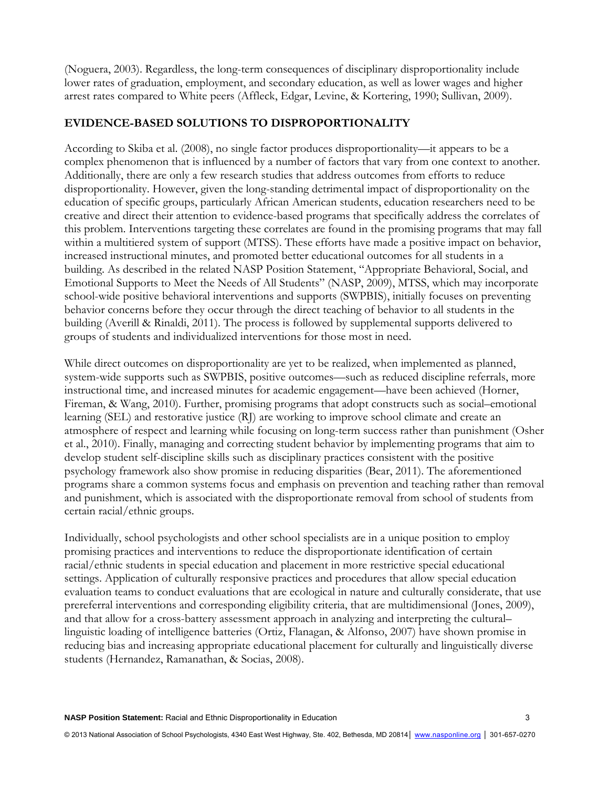(Noguera, 2003). Regardless, the long-term consequences of disciplinary disproportionality include lower rates of graduation, employment, and secondary education, as well as lower wages and higher arrest rates compared to White peers (Affleck, Edgar, Levine, & Kortering, 1990; Sullivan, 2009).

### **EVIDENCE-BASED SOLUTIONS TO DISPROPORTIONALITY**

According to Skiba et al. (2008), no single factor produces disproportionality—it appears to be a complex phenomenon that is influenced by a number of factors that vary from one context to another. Additionally, there are only a few research studies that address outcomes from efforts to reduce disproportionality. However, given the long-standing detrimental impact of disproportionality on the education of specific groups, particularly African American students, education researchers need to be creative and direct their attention to evidence-based programs that specifically address the correlates of this problem. Interventions targeting these correlates are found in the promising programs that may fall within a multitiered system of support (MTSS). These efforts have made a positive impact on behavior, increased instructional minutes, and promoted better educational outcomes for all students in a building. As described in the related NASP Position Statement, "Appropriate Behavioral, Social, and Emotional Supports to Meet the Needs of All Students" (NASP, 2009), MTSS, which may incorporate school-wide positive behavioral interventions and supports (SWPBIS), initially focuses on preventing behavior concerns before they occur through the direct teaching of behavior to all students in the building (Averill & Rinaldi, 2011). The process is followed by supplemental supports delivered to groups of students and individualized interventions for those most in need.

While direct outcomes on disproportionality are yet to be realized, when implemented as planned, system-wide supports such as SWPBIS, positive outcomes—such as reduced discipline referrals, more instructional time, and increased minutes for academic engagement—have been achieved (Horner, Fireman, & Wang, 2010). Further, promising programs that adopt constructs such as social–emotional learning (SEL) and restorative justice (RJ) are working to improve school climate and create an atmosphere of respect and learning while focusing on long-term success rather than punishment (Osher et al., 2010). Finally, managing and correcting student behavior by implementing programs that aim to develop student self-discipline skills such as disciplinary practices consistent with the positive psychology framework also show promise in reducing disparities (Bear, 2011). The aforementioned programs share a common systems focus and emphasis on prevention and teaching rather than removal and punishment, which is associated with the disproportionate removal from school of students from certain racial/ethnic groups.

Individually, school psychologists and other school specialists are in a unique position to employ promising practices and interventions to reduce the disproportionate identification of certain racial/ethnic students in special education and placement in more restrictive special educational settings. Application of culturally responsive practices and procedures that allow special education evaluation teams to conduct evaluations that are ecological in nature and culturally considerate, that use prereferral interventions and corresponding eligibility criteria, that are multidimensional (Jones, 2009), and that allow for a cross-battery assessment approach in analyzing and interpreting the cultural– linguistic loading of intelligence batteries (Ortiz, Flanagan, & Alfonso, 2007) have shown promise in reducing bias and increasing appropriate educational placement for culturally and linguistically diverse students (Hernandez, Ramanathan, & Socias, 2008).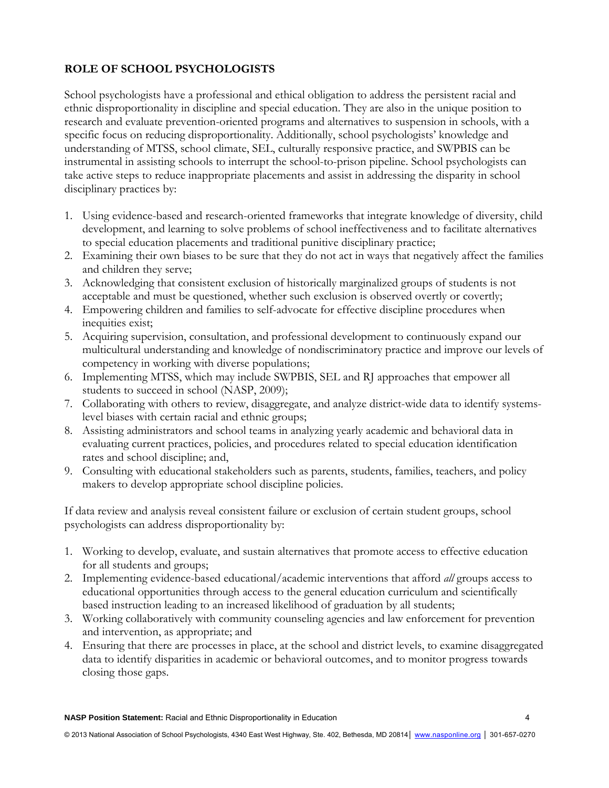# **ROLE OF SCHOOL PSYCHOLOGISTS**

School psychologists have a professional and ethical obligation to address the persistent racial and ethnic disproportionality in discipline and special education. They are also in the unique position to research and evaluate prevention-oriented programs and alternatives to suspension in schools, with a specific focus on reducing disproportionality. Additionally, school psychologists' knowledge and understanding of MTSS, school climate, SEL, culturally responsive practice, and SWPBIS can be instrumental in assisting schools to interrupt the school-to-prison pipeline. School psychologists can take active steps to reduce inappropriate placements and assist in addressing the disparity in school disciplinary practices by:

- 1. Using evidence-based and research-oriented frameworks that integrate knowledge of diversity, child development, and learning to solve problems of school ineffectiveness and to facilitate alternatives to special education placements and traditional punitive disciplinary practice;
- 2. Examining their own biases to be sure that they do not act in ways that negatively affect the families and children they serve;
- 3. Acknowledging that consistent exclusion of historically marginalized groups of students is not acceptable and must be questioned, whether such exclusion is observed overtly or covertly;
- 4. Empowering children and families to self-advocate for effective discipline procedures when inequities exist;
- 5. Acquiring supervision, consultation, and professional development to continuously expand our multicultural understanding and knowledge of nondiscriminatory practice and improve our levels of competency in working with diverse populations;
- 6. Implementing MTSS, which may include SWPBIS, SEL and RJ approaches that empower all students to succeed in school (NASP, 2009);
- 7. Collaborating with others to review, disaggregate, and analyze district-wide data to identify systemslevel biases with certain racial and ethnic groups;
- 8. Assisting administrators and school teams in analyzing yearly academic and behavioral data in evaluating current practices, policies, and procedures related to special education identification rates and school discipline; and,
- 9. Consulting with educational stakeholders such as parents, students, families, teachers, and policy makers to develop appropriate school discipline policies.

If data review and analysis reveal consistent failure or exclusion of certain student groups, school psychologists can address disproportionality by:

- 1. Working to develop, evaluate, and sustain alternatives that promote access to effective education for all students and groups;
- 2. Implementing evidence-based educational/academic interventions that afford *all* groups access to educational opportunities through access to the general education curriculum and scientifically based instruction leading to an increased likelihood of graduation by all students;
- 3. Working collaboratively with community counseling agencies and law enforcement for prevention and intervention, as appropriate; and
- 4. Ensuring that there are processes in place, at the school and district levels, to examine disaggregated data to identify disparities in academic or behavioral outcomes, and to monitor progress towards closing those gaps.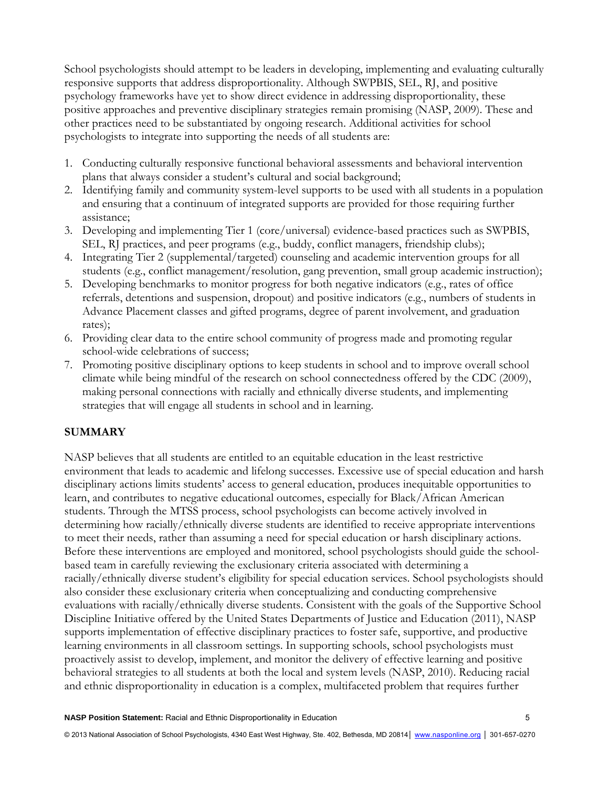School psychologists should attempt to be leaders in developing, implementing and evaluating culturally responsive supports that address disproportionality. Although SWPBIS, SEL, RJ, and positive psychology frameworks have yet to show direct evidence in addressing disproportionality, these positive approaches and preventive disciplinary strategies remain promising (NASP, 2009). These and other practices need to be substantiated by ongoing research. Additional activities for school psychologists to integrate into supporting the needs of all students are:

- 1. Conducting culturally responsive functional behavioral assessments and behavioral intervention plans that always consider a student's cultural and social background;
- 2. Identifying family and community system-level supports to be used with all students in a population and ensuring that a continuum of integrated supports are provided for those requiring further assistance;
- 3. Developing and implementing Tier 1 (core/universal) evidence-based practices such as SWPBIS, SEL, RJ practices, and peer programs (e.g., buddy, conflict managers, friendship clubs);
- 4. Integrating Tier 2 (supplemental/targeted) counseling and academic intervention groups for all students (e.g., conflict management/resolution, gang prevention, small group academic instruction);
- 5. Developing benchmarks to monitor progress for both negative indicators (e.g., rates of office referrals, detentions and suspension, dropout) and positive indicators (e.g., numbers of students in Advance Placement classes and gifted programs, degree of parent involvement, and graduation rates);
- 6. Providing clear data to the entire school community of progress made and promoting regular school-wide celebrations of success;
- 7. Promoting positive disciplinary options to keep students in school and to improve overall school climate while being mindful of the research on school connectedness offered by the CDC (2009), making personal connections with racially and ethnically diverse students, and implementing strategies that will engage all students in school and in learning.

### **SUMMARY**

NASP believes that all students are entitled to an equitable education in the least restrictive environment that leads to academic and lifelong successes. Excessive use of special education and harsh disciplinary actions limits students' access to general education, produces inequitable opportunities to learn, and contributes to negative educational outcomes, especially for Black/African American students. Through the MTSS process, school psychologists can become actively involved in determining how racially/ethnically diverse students are identified to receive appropriate interventions to meet their needs, rather than assuming a need for special education or harsh disciplinary actions. Before these interventions are employed and monitored, school psychologists should guide the schoolbased team in carefully reviewing the exclusionary criteria associated with determining a racially/ethnically diverse student's eligibility for special education services. School psychologists should also consider these exclusionary criteria when conceptualizing and conducting comprehensive evaluations with racially/ethnically diverse students. Consistent with the goals of the Supportive School Discipline Initiative offered by the United States Departments of Justice and Education (2011), NASP supports implementation of effective disciplinary practices to foster safe, supportive, and productive learning environments in all classroom settings. In supporting schools, school psychologists must proactively assist to develop, implement, and monitor the delivery of effective learning and positive behavioral strategies to all students at both the local and system levels (NASP, 2010). Reducing racial and ethnic disproportionality in education is a complex, multifaceted problem that requires further

**NASP Position Statement:** Racial and Ethnic Disproportionality in Education 5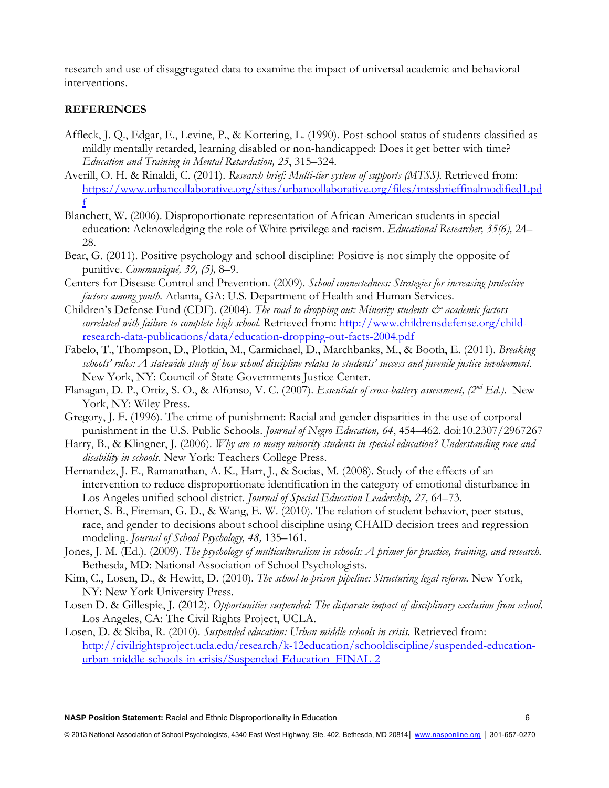research and use of disaggregated data to examine the impact of universal academic and behavioral interventions.

### **REFERENCES**

- Affleck, J. Q., Edgar, E., Levine, P., & Kortering, L. (1990). Post-school status of students classified as mildly mentally retarded, learning disabled or non-handicapped: Does it get better with time? *Education and Training in Mental Retardation, 25*, 315–324.
- Averill, O. H. & Rinaldi, C. (2011). *Research brief: Multi-tier system of supports (MTSS).* Retrieved from: https://www.urbancollaborative.org/sites/urbancollaborative.org/files/mtssbrieffinalmodified1.pd f
- Blanchett, W. (2006). Disproportionate representation of African American students in special education: Acknowledging the role of White privilege and racism. *Educational Researcher, 35(6),* 24– 28.
- Bear, G. (2011). Positive psychology and school discipline: Positive is not simply the opposite of punitive. *Communiqué, 39, (5),* 8–9.
- Centers for Disease Control and Prevention. (2009). *School connectedness: Strategies for increasing protective factors among youth.* Atlanta, GA: U.S. Department of Health and Human Services.
- Children's Defense Fund (CDF). (2004). *The road to dropping out: Minority students*  $\breve{c}$  *academic factors correlated with failure to complete high school.* Retrieved from: http://www.childrensdefense.org/childresearch-data-publications/data/education-dropping-out-facts-2004.pdf
- Fabelo, T., Thompson, D., Plotkin, M., Carmichael, D., Marchbanks, M., & Booth, E. (2011). *Breaking schools' rules: A statewide study of how school discipline relates to students' success and juvenile justice involvement.*  New York, NY: Council of State Governments Justice Center.
- Flanagan, D. P., Ortiz, S. O., & Alfonso, V. C. (2007). *Essentials of cross-battery assessment, (2nd Ed.)*. New York, NY: Wiley Press.
- Gregory, J. F. (1996). The crime of punishment: Racial and gender disparities in the use of corporal punishment in the U.S. Public Schools. *Journal of Negro Education, 64*, 454–462. doi:10.2307/2967267
- Harry, B., & Klingner, J. (2006). *Why are so many minority students in special education? Understanding race and disability in schools.* New York: Teachers College Press.
- Hernandez, J. E., Ramanathan, A. K., Harr, J., & Socias, M. (2008). Study of the effects of an intervention to reduce disproportionate identification in the category of emotional disturbance in Los Angeles unified school district. *Journal of Special Education Leadership, 27,* 64–73.
- Horner, S. B., Fireman, G. D., & Wang, E. W. (2010). The relation of student behavior, peer status, race, and gender to decisions about school discipline using CHAID decision trees and regression modeling. *Journal of School Psychology, 48,* 135–161.
- Jones, J. M. (Ed.). (2009). *The psychology of multiculturalism in schools: A primer for practice, training, and research.*  Bethesda, MD: National Association of School Psychologists.
- Kim, C., Losen, D., & Hewitt, D. (2010). *The school-to-prison pipeline: Structuring legal reform.* New York, NY: New York University Press.
- Losen D. & Gillespie, J. (2012). *Opportunities suspended: The disparate impact of disciplinary exclusion from school.* Los Angeles, CA: The Civil Rights Project, UCLA.
- Losen, D. & Skiba, R. (2010). *Suspended education: Urban middle schools in crisis.* Retrieved from: http://civilrightsproject.ucla.edu/research/k-12education/schooldiscipline/suspended-educationurban-middle-schools-in-crisis/Suspended-Education\_FINAL-2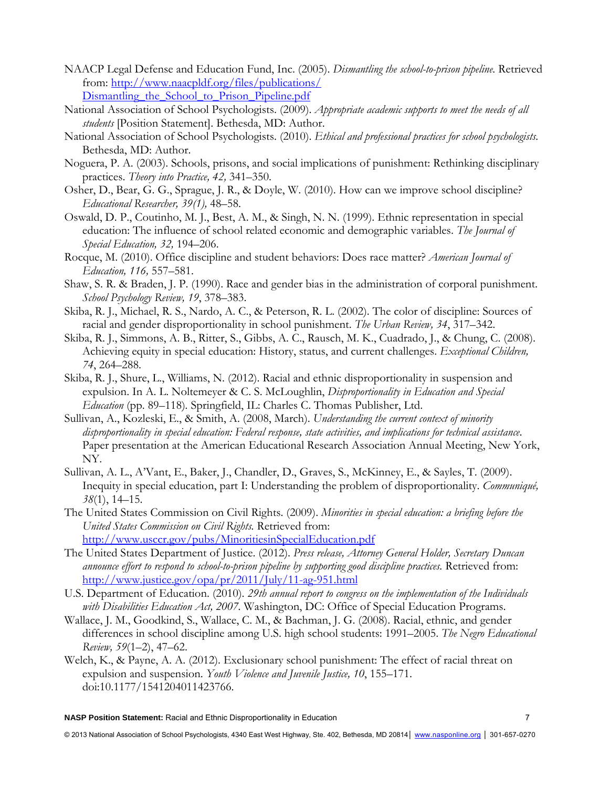- NAACP Legal Defense and Education Fund, Inc. (2005). *Dismantling the school-to-prison pipeline.* Retrieved from: http://www.naacpldf.org/files/publications/ Dismantling the School to Prison Pipeline.pdf
- National Association of School Psychologists. (2009). *Appropriate academic supports to meet the needs of all students* [Position Statement]. Bethesda, MD: Author.
- National Association of School Psychologists. (2010). *Ethical and professional practices for school psychologists.* Bethesda, MD: Author.
- Noguera, P. A. (2003). Schools, prisons, and social implications of punishment: Rethinking disciplinary practices. *Theory into Practice, 42,* 341–350.
- Osher, D., Bear, G. G., Sprague, J. R., & Doyle, W. (2010). How can we improve school discipline? *Educational Researcher, 39(1),* 48–58.
- Oswald, D. P., Coutinho, M. J., Best, A. M., & Singh, N. N. (1999). Ethnic representation in special education: The influence of school related economic and demographic variables. *The Journal of Special Education, 32,* 194–206.
- Rocque, M. (2010). Office discipline and student behaviors: Does race matter? *American Journal of Education, 116,* 557–581.
- Shaw, S. R. & Braden, J. P. (1990). Race and gender bias in the administration of corporal punishment. *School Psychology Review, 19*, 378–383.
- Skiba, R. J., Michael, R. S., Nardo, A. C., & Peterson, R. L. (2002). The color of discipline: Sources of racial and gender disproportionality in school punishment. *The Urban Review, 34*, 317–342.
- Skiba, R. J., Simmons, A. B., Ritter, S., Gibbs, A. C., Rausch, M. K., Cuadrado, J., & Chung, C. (2008). Achieving equity in special education: History, status, and current challenges. *Exceptional Children, 74*, 264–288.
- Skiba, R. J., Shure, L., Williams, N. (2012). Racial and ethnic disproportionality in suspension and expulsion. In A. L. Noltemeyer & C. S. McLoughlin, *Disproportionality in Education and Special Education* (pp. 89–118)*.* Springfield, IL: Charles C. Thomas Publisher, Ltd.
- Sullivan, A., Kozleski, E., & Smith, A. (2008, March). *Understanding the current context of minority disproportionality in special education: Federal response, state activities, and implications for technical assistance*. Paper presentation at the American Educational Research Association Annual Meeting, New York, NY.
- Sullivan, A. L., A'Vant, E., Baker, J., Chandler, D., Graves, S., McKinney, E., & Sayles, T. (2009). Inequity in special education, part I: Understanding the problem of disproportionality. *Communiqué, 38*(1), 14–15.
- The United States Commission on Civil Rights. (2009). *Minorities in special education: a briefing before the United States Commission on Civil Rights.* Retrieved from: http://www.usccr.gov/pubs/MinoritiesinSpecialEducation.pdf
- The United States Department of Justice. (2012). *Press release, Attorney General Holder, Secretary Duncan announce effort to respond to school-to-prison pipeline by supporting good discipline practices.* Retrieved from: http://www.justice.gov/opa/pr/2011/July/11-ag-951.html
- U.S. Department of Education. (2010). *29th annual report to congress on the implementation of the Individuals with Disabilities Education Act, 2007.* Washington, DC: Office of Special Education Programs.
- Wallace, J. M., Goodkind, S., Wallace, C. M., & Bachman, J. G. (2008). Racial, ethnic, and gender differences in school discipline among U.S. high school students: 1991–2005. *The Negro Educational Review, 59*(1–2), 47–62.
- Welch, K., & Payne, A. A. (2012). Exclusionary school punishment: The effect of racial threat on expulsion and suspension. *Youth Violence and Juvenile Justice, 10*, 155–171. doi:10.1177/1541204011423766.

**NASP Position Statement:** Racial and Ethnic Disproportionality in Education 7